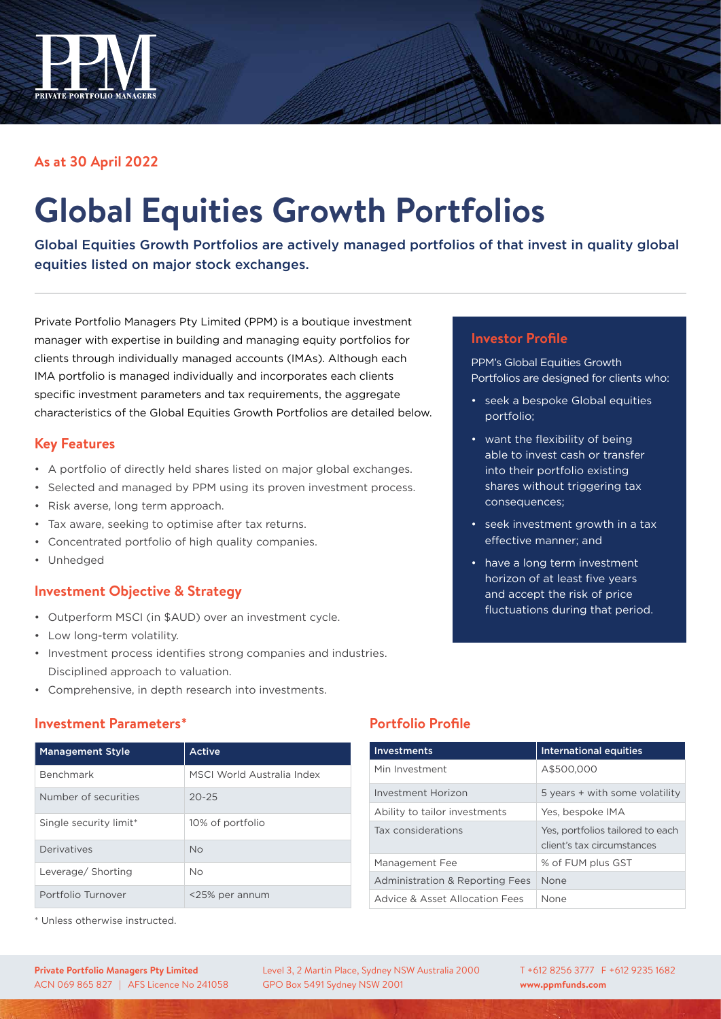

## **As at 30 April 2022**

# **Global Equities Growth Portfolios**

Global Equities Growth Portfolios are actively managed portfolios of that invest in quality global equities listed on major stock exchanges.

Private Portfolio Managers Pty Limited (PPM) is a boutique investment manager with expertise in building and managing equity portfolios for clients through individually managed accounts (IMAs). Although each IMA portfolio is managed individually and incorporates each clients specific investment parameters and tax requirements, the aggregate characteristics of the Global Equities Growth Portfolios are detailed below.

### **Key Features**

- A portfolio of directly held shares listed on major global exchanges.
- Selected and managed by PPM using its proven investment process.
- Risk averse, long term approach.
- Tax aware, seeking to optimise after tax returns.
- Concentrated portfolio of high quality companies.
- Unhedged

### **Investment Objective & Strategy**

- Outperform MSCI (in \$AUD) over an investment cycle.
- Low long-term volatility.
- Investment process identifies strong companies and industries. Disciplined approach to valuation.
- Comprehensive, in depth research into investments.

### **Investment Parameters\***

| <b>Management Style</b> | Active                     |
|-------------------------|----------------------------|
| <b>Benchmark</b>        | MSCI World Australia Index |
| Number of securities    | $20 - 25$                  |
| Single security limit*  | 10% of portfolio           |
| Derivatives             | <b>No</b>                  |
| Leverage/ Shorting      | <b>No</b>                  |
| Portfolio Turnover      | <25% per annum             |

\* Unless otherwise instructed.

## **Investor Profile**

PPM's Global Equities Growth Portfolios are designed for clients who:

- seek a bespoke Global equities portfolio;
- want the flexibility of being able to invest cash or transfer into their portfolio existing shares without triggering tax consequences;
- seek investment growth in a tax effective manner; and
- have a long term investment horizon of at least five years and accept the risk of price fluctuations during that period.

## **Portfolio Profile**

| <b>Investments</b>              | <b>International equities</b>                                  |
|---------------------------------|----------------------------------------------------------------|
| Min Investment                  | A\$500,000                                                     |
| Investment Horizon              | 5 years + with some volatility                                 |
| Ability to tailor investments   | Yes, bespoke IMA                                               |
| Tax considerations              | Yes, portfolios tailored to each<br>client's tax circumstances |
| Management Fee                  | % of FUM plus GST                                              |
| Administration & Reporting Fees | None                                                           |
| Advice & Asset Allocation Fees  | None                                                           |

Level 3, 2 Martin Place, Sydney NSW Australia 2000 GPO Box 5491 Sydney NSW 2001

T +612 8256 3777 F +612 9235 1682 **www.ppmfunds.com**